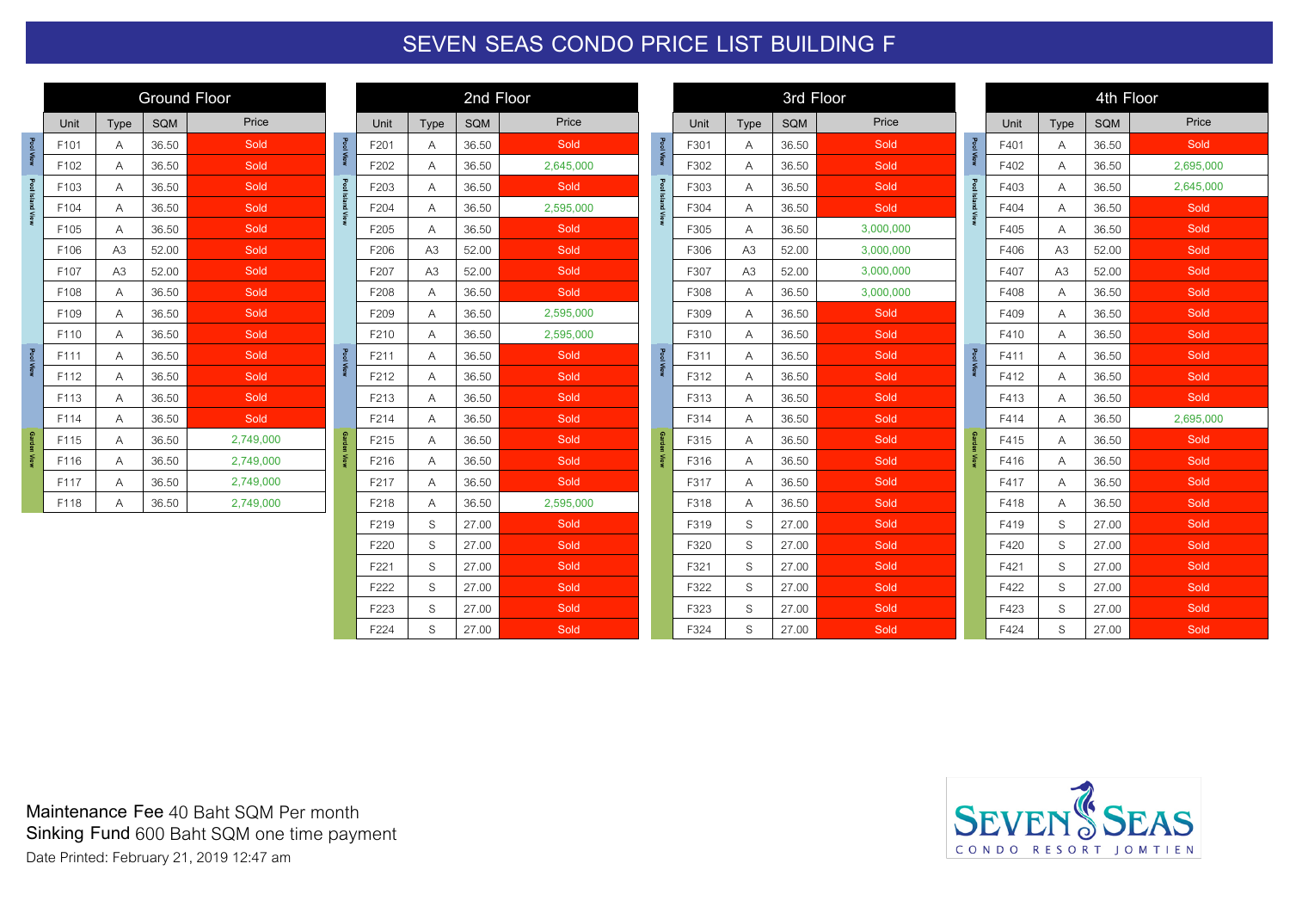## **SEVEN SEAS CONDO PRICE LIST BUILDING F**

|                    | <b>Ground Floor</b> |                |            |           |  |  |  |  |  |  |  |
|--------------------|---------------------|----------------|------------|-----------|--|--|--|--|--|--|--|
|                    | Unit                | <b>Type</b>    | <b>SQM</b> | Price     |  |  |  |  |  |  |  |
| <b>Pool View</b>   | F101                | A              | 36.50      | Sold      |  |  |  |  |  |  |  |
|                    | F102                | A              | 36.50      | Sold      |  |  |  |  |  |  |  |
|                    | F103                | A              | 36.50      | Sold      |  |  |  |  |  |  |  |
| Pool Island View   | F104                | A              | 36.50      | Sold      |  |  |  |  |  |  |  |
|                    | F105                | A              | 36.50      | Sold      |  |  |  |  |  |  |  |
|                    | F106                | A <sub>3</sub> | 52.00      | Sold      |  |  |  |  |  |  |  |
|                    | F107                | A <sub>3</sub> | 52.00      | Sold      |  |  |  |  |  |  |  |
|                    | F108                | A              | 36.50      | Sold      |  |  |  |  |  |  |  |
|                    | F109                | A              | 36.50      | Sold      |  |  |  |  |  |  |  |
|                    | F110                | A              | 36.50      | Sold      |  |  |  |  |  |  |  |
| <b>Pool View</b>   | F111                | A              | 36.50      | Sold      |  |  |  |  |  |  |  |
|                    | F112                | Α              | 36.50      | Sold      |  |  |  |  |  |  |  |
|                    | F113                | Α              | 36.50      | Sold      |  |  |  |  |  |  |  |
|                    | F114                | A              | 36.50      | Sold      |  |  |  |  |  |  |  |
| <b>Garden View</b> | F115                | A              | 36.50      | 2,749,000 |  |  |  |  |  |  |  |
|                    | F116                | A              | 36.50      | 2,749,000 |  |  |  |  |  |  |  |
|                    | F117<br>Α           |                | 36.50      | 2,749,000 |  |  |  |  |  |  |  |
|                    | F118                | Α              | 36.50      | 2,749,000 |  |  |  |  |  |  |  |

| 2nd Floor                    |                |       |           |  |  |  |  |  |  |  |  |
|------------------------------|----------------|-------|-----------|--|--|--|--|--|--|--|--|
| SQM<br>Price<br>Unit<br>Type |                |       |           |  |  |  |  |  |  |  |  |
| F201                         | A              | 36.50 | Sold      |  |  |  |  |  |  |  |  |
| F202                         | A              | 36.50 | 2,645,000 |  |  |  |  |  |  |  |  |
| F203                         | Α              | 36.50 | Sold      |  |  |  |  |  |  |  |  |
| F204                         | А              | 36.50 | 2,595,000 |  |  |  |  |  |  |  |  |
| F <sub>205</sub>             | Α              | 36.50 | Sold      |  |  |  |  |  |  |  |  |
| F206                         | A3             | 52.00 | Sold      |  |  |  |  |  |  |  |  |
| F207                         | A <sub>3</sub> | 52.00 | Sold      |  |  |  |  |  |  |  |  |
| F208                         | Α              | 36.50 | Sold      |  |  |  |  |  |  |  |  |
| F209                         | Α              | 36.50 | 2,595,000 |  |  |  |  |  |  |  |  |
| F210                         | Α              | 36.50 | 2,595,000 |  |  |  |  |  |  |  |  |
| F211                         | Α              | 36.50 | Sold      |  |  |  |  |  |  |  |  |
| F212                         | Α              | 36.50 | Sold      |  |  |  |  |  |  |  |  |
| F213                         | Α              | 36.50 | Sold      |  |  |  |  |  |  |  |  |
| F214                         | Α              | 36.50 | Sold      |  |  |  |  |  |  |  |  |
| F215                         | A              | 36.50 | Sold      |  |  |  |  |  |  |  |  |
| F216                         | Α              | 36.50 | Sold      |  |  |  |  |  |  |  |  |
| F217                         | Α              | 36.50 | Sold      |  |  |  |  |  |  |  |  |
| F218                         | Α              | 36.50 | 2,595,000 |  |  |  |  |  |  |  |  |
| F219                         | S              | 27.00 | Sold      |  |  |  |  |  |  |  |  |
| F220                         | S              | 27.00 | Sold      |  |  |  |  |  |  |  |  |
| F221                         | S              | 27.00 | Sold      |  |  |  |  |  |  |  |  |
| F222                         | S              | 27.00 | Sold      |  |  |  |  |  |  |  |  |
| F223                         | S              | 27.00 | Sold      |  |  |  |  |  |  |  |  |
| F224                         | S              | 27.00 | Sold      |  |  |  |  |  |  |  |  |

|                  | 3rd Floor |                |            |           |  |  |  |  |  |  |  |
|------------------|-----------|----------------|------------|-----------|--|--|--|--|--|--|--|
|                  | Unit      | <b>Type</b>    | <b>SQM</b> | Price     |  |  |  |  |  |  |  |
| Pool View        | F301      | A              | 36.50      | Sold      |  |  |  |  |  |  |  |
|                  | F302      | A              | 36.50      | Sold      |  |  |  |  |  |  |  |
|                  | F303      | A              | 36.50      | Sold      |  |  |  |  |  |  |  |
| Pool Island View | F304      | Α              | 36.50      | Sold      |  |  |  |  |  |  |  |
|                  | F305      | Α              | 36.50      | 3,000,000 |  |  |  |  |  |  |  |
|                  | F306      | A <sub>3</sub> | 52.00      | 3,000,000 |  |  |  |  |  |  |  |
|                  | F307      | A3             | 52.00      | 3,000,000 |  |  |  |  |  |  |  |
|                  | F308      | A              | 36.50      | 3,000,000 |  |  |  |  |  |  |  |
|                  | F309      | Α              | 36.50      | Sold      |  |  |  |  |  |  |  |
|                  | F310      | A              | 36.50      | Sold      |  |  |  |  |  |  |  |
| Pool View        | F311      | A              | 36.50      | Sold      |  |  |  |  |  |  |  |
|                  | F312      | A              | 36.50      | Sold      |  |  |  |  |  |  |  |
|                  | F313      | A              | 36.50      | Sold      |  |  |  |  |  |  |  |
|                  | F314      | Α              | 36.50      | Sold      |  |  |  |  |  |  |  |
| Garden View      | F315      | A              | 36.50      | Sold      |  |  |  |  |  |  |  |
|                  | F316      | Α              | 36.50      | Sold      |  |  |  |  |  |  |  |
|                  | F317      | Α              | 36.50      | Sold      |  |  |  |  |  |  |  |
|                  | F318      | Α              | 36.50      | Sold      |  |  |  |  |  |  |  |
|                  | F319      | S              | 27.00      | Sold      |  |  |  |  |  |  |  |
|                  | F320      | S              | 27.00      | Sold      |  |  |  |  |  |  |  |
|                  | F321      | S              | 27.00      | Sold      |  |  |  |  |  |  |  |
|                  | F322      | S              | 27.00      | Sold      |  |  |  |  |  |  |  |
|                  | F323      | S              | 27.00      | Sold      |  |  |  |  |  |  |  |
|                  | F324      | S              | 27.00      | Sold      |  |  |  |  |  |  |  |

|                    | 4th Floor |             |            |           |  |  |  |  |  |  |  |
|--------------------|-----------|-------------|------------|-----------|--|--|--|--|--|--|--|
|                    | Unit      | <b>Type</b> | <b>SQM</b> | Price     |  |  |  |  |  |  |  |
| <b>Pool View</b>   | F401      | A           | 36.50      | Sold      |  |  |  |  |  |  |  |
|                    | F402      | A           | 36.50      | 2,695,000 |  |  |  |  |  |  |  |
|                    | F403      | Α           | 36.50      | 2,645,000 |  |  |  |  |  |  |  |
| Pool Island View   | F404      | Α           | 36.50      | Sold      |  |  |  |  |  |  |  |
|                    | F405      | Α           | 36.50      | Sold      |  |  |  |  |  |  |  |
|                    | F406      | A3          | 52.00      | Sold      |  |  |  |  |  |  |  |
|                    | F407      | A3          | 52.00      | Sold      |  |  |  |  |  |  |  |
|                    | F408      | A           | 36.50      | Sold      |  |  |  |  |  |  |  |
|                    | F409      | A           | 36.50      | Sold      |  |  |  |  |  |  |  |
|                    | F410      | А           | 36.50      | Sold      |  |  |  |  |  |  |  |
| Pool View          | F411      | Α           | 36.50      | Sold      |  |  |  |  |  |  |  |
|                    | F412      | A           | 36.50      | Sold      |  |  |  |  |  |  |  |
|                    | F413      | А           | 36.50      | Sold      |  |  |  |  |  |  |  |
|                    | F414      | A           | 36.50      | 2,695,000 |  |  |  |  |  |  |  |
| <b>Garden View</b> | F415      | A           | 36.50      | Sold      |  |  |  |  |  |  |  |
|                    | F416      | Α           | 36.50      | Sold      |  |  |  |  |  |  |  |
|                    | F417      | А           | 36.50      | Sold      |  |  |  |  |  |  |  |
|                    | F418      | A           | 36.50      | Sold      |  |  |  |  |  |  |  |
|                    | F419      | S           | 27.00      | Sold      |  |  |  |  |  |  |  |
|                    | F420      | S           | 27.00      | Sold      |  |  |  |  |  |  |  |
|                    | F421      | S           | 27.00      | Sold      |  |  |  |  |  |  |  |
|                    | F422      | S           | 27.00      | Sold      |  |  |  |  |  |  |  |
|                    | F423      | S           | 27.00      | Sold      |  |  |  |  |  |  |  |
|                    | F424      | S           | 27.00      | Sold      |  |  |  |  |  |  |  |